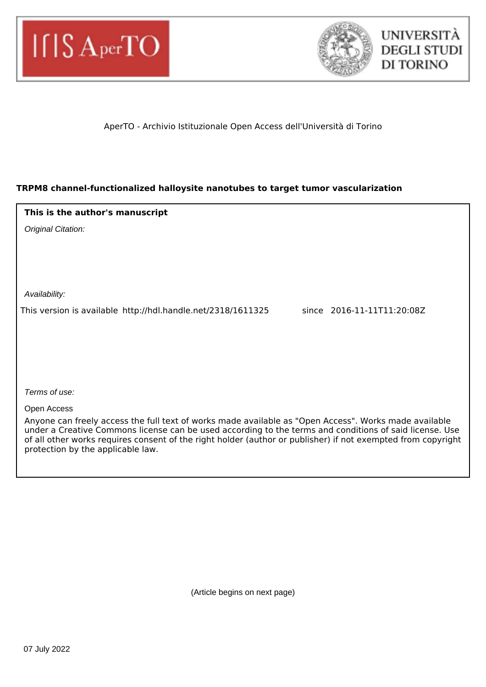



## AperTO - Archivio Istituzionale Open Access dell'Università di Torino

## **TRPM8 channel-functionalized halloysite nanotubes to target tumor vascularization**

| This is the author's manuscript                              |                            |
|--------------------------------------------------------------|----------------------------|
| Original Citation:                                           |                            |
|                                                              |                            |
|                                                              |                            |
|                                                              |                            |
| Availability:                                                |                            |
| This version is available http://hdl.handle.net/2318/1611325 | since 2016-11-11T11:20:08Z |
|                                                              |                            |
|                                                              |                            |
|                                                              |                            |
|                                                              |                            |
| Terms of use:                                                |                            |
| Open Access                                                  |                            |

Anyone can freely access the full text of works made available as "Open Access". Works made available under a Creative Commons license can be used according to the terms and conditions of said license. Use of all other works requires consent of the right holder (author or publisher) if not exempted from copyright protection by the applicable law.

(Article begins on next page)